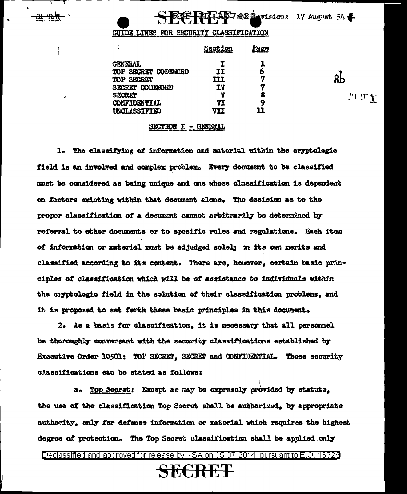GUIDE LINES FOR SECURITY CLASSIFICATION

Pur AS7420 visions 17 August 54 \$

 $\rm 8b$ 

世じて

| ٠<br>ĸ,             | <u>Section</u> | <b>Page</b> |
|---------------------|----------------|-------------|
| <b>GENERAL</b>      | I              | ı           |
| TOP SECRET CODEWORD | 11             | 6           |
| TOP SECRET          | ШI             | 7           |
| SECRET CODEWORD     | TV             | 7           |
| <b>SECRET</b>       | v              | 8           |
| CONFIDENTIAL        | VI             | 9           |
| UNCLASSIFIED        | VII            | 11          |

#### SECTION I - GENERAL

1. The classifying of information and material within the cryptologic field is an involved and complex problem. Every document to be classified must be considered as being unique and one whose classification is dependent on factors existing within that document alone. The decision as to the proper classification of a document cannot arbitrarily be determined by referral to other documents or to specific rules and regulations. Each item of information or material must be adjudged solely on its own merits and classified according to its content. There are, however, certain basic principles of classification which will be of assistance to individuals within the cryptologic field in the solution of their classification problems, and it is proposed to set forth these basic principles in this document.

2. As a basis for classification, it is necessary that all personnel be thoroughly conversant with the security classifications established by Executive Order 10501: TOP SECRET, SECRET and CONFIDENTIAL. These security classifications can be stated as follows:

a. Top Secret: Except as may be expressly provided by statute, the use of the classification Top Secret shall be authorized, by appropriate authority, only for defense information or material which requires the highest degree of protection. The Top Secret classification shall be applied only

Declassified and approved for release by NSA on 05-07-2014 pursuant to E.O. 13526

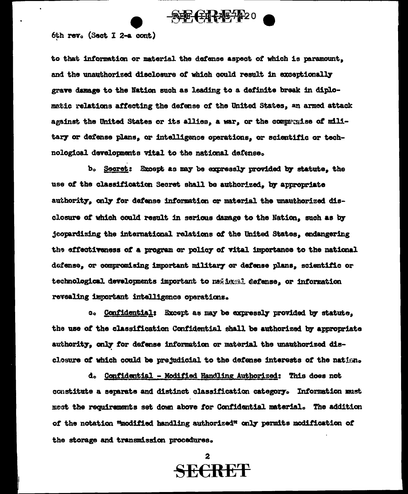

#### 6th rev. (Sect I 2-a cont)

to that information or material the defense aspect of which is paramount. and the unauthorized disclosure of which could result in exceptionally grave damage to the Nation such as leading to a definite break in diplomatic relations affecting the defense of the United States, an armed attack against the United States or its allies, a war, or the comparatse of military or defense plans, or intelligence operations, or scientific or technological developments vital to the national defense.

b. Secret: Except as may be expressly provided by statute, the use of the classification Secret shall be authorized, by appropriate authority, only for defense information or material the unauthorized disclosure of which could result in serious damage to the Nation, such as by jeopardizing the international relations of the United States, endangering the effectiveness of a program or policy of vital importance to the national defense, or compromising important military or defense plans, scientific or technological developments important to ne@insml defense, or information revealing important intelligence operations.

c. Confidential: Except as may be expressly provided by statute, the use of the classification Confidential shall be authorized by appropriate authority, only for defense information or material the unauthorized disclosure of which could be prejudicial to the defense interests of the nation.

d. Confidential - Modified Handling Authorized: This does not constitute a separate and distinct classification category. Information must mest the requirements set down above for Confidential material. The addition of the notation "modified handling authorized" only permits modification of the storage and transmission procedures.

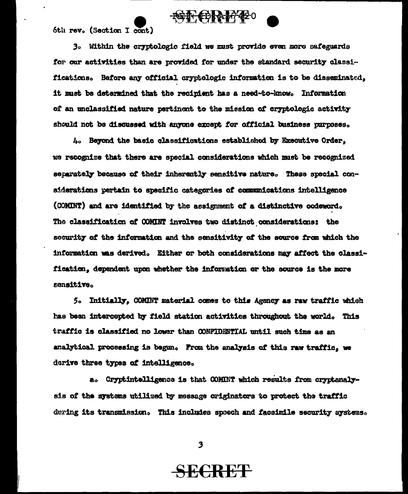

6th rev. (Section I cont)

3. Within the cryptologic field we must provide even more safeguards for our activities than are provided for under the standard security classifications. Before any official orgatologic information is to be disseminated, it must be determined that the recipient has a need-to-know. Information of an unclassified nature pertinent to the mission of cryptologic activity should not be discussed with anyone except for official business purposes.

4. Beyond the basic classifications established by Executive Order, we recognize that there are special considerations which must be recognized separately because of their inherently sensitive nature. These special considerations pertain to specific categories of communications intelligence (COMINT) and are identified by the assignment of a distinctive codeword. The classification of COMINT involves two distinct considerations: the security of the information and the sensitivity of the source from which the information was derived. Either or both considerations may affect the classification, dependent upon whether the information or the source is the more sensitive.

5. Initially, COMINT material comes to this Agency as raw traffic which has been intercepted by field station activities throughout the world. This traffic is classified no lower than CONFIDENTIAL until such time as an analytical processing is begun. From the analysis of this raw traffic, we derive three types of intelligence.

a. Cryptintelligence is that COMENT which results from cryptenalysis of the systems utilized by message originators to protect the traffic during its transmission. This includes speech and facsimile security systems.

3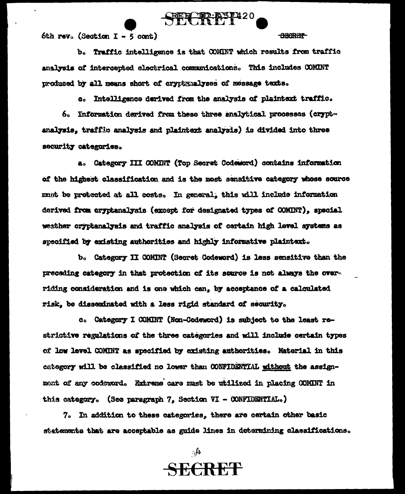

6th rev. (Section  $I - 5$  cont)

**SBORET** 

b. Traffic intelligence is that COMINT which results from traffic analysis of intercepted electrical communications. This includes COMINT produced by all means short of cryptgaalyses of message texts.

c. Intelligence derived from the analysis of plaintext traffic. 6. Information derived from these three analytical processes (cryptanalysis, traffic analysis and plaintext analysis) is divided into three security categories.

a. Category III COMINT (Top Secret Codeword) contains information of the highest classification and is the most sensitive category whose source must be protected at all costs. In general, this will include information derived from cryptanalysis (except for designated types of COMBT), special weather cryptanalysis and traffic analysis of certain high level systems as specified by existing authorities and highly informative plaintext.

b. Category II COMINT (Secret Codeword) is less sensitive than the preceding category in that protection of its source is not always the overriding consideration and is one which can, by acceptance of a calculated risk, be disseminated with a less rigid standard of security.

c. Category I COMINT (Non-Codeword) is subject to the least restrictive regulations of the three categories and will include certain types of low level COMINT as specified by existing authorities. Material in this category will be classified no lower than CONFIDENTIAL without the assignmant of any codeword. Extreme care must be utilized in placing COMINT in this category. (See paragraph 7, Section VI - CONFIDENTIAL.)

7. In addition to these categories, there are certain other basic statements that are acceptable as guide lines in determining classifications.

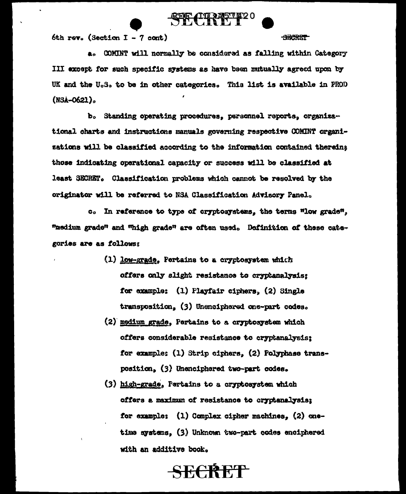

6th rev. (Section I - 7 cont)

**ANCRET** 

a. COMINT will normally be considered as falling within Category III except for such specific systems as have been mutually agreed upon by UK and the U.S. to be in other categories. This list is available in PROD (NSA-0621).

b. Standing operating procedures, personnel reports, organizational charts and instructions manuals governing respective COMINT organisations will be classified according to the information contained thereins those indicating operational capacity or success will be classified at least SECRET. Classification problems which cannot be resolved by the originator will be referred to NSA Classification Advisory Panel.

c. In reference to type of cryptosystems, the terms "low grade". "medium grade" and "high grade" are often used. Definition of these categories are as follows:

- (1) low-grade. Pertains to a cryptosystem which offers only slight resistance to cryptanelysis; for example: (1) Playfair ciphers, (2) Single transposition, (3) Unenciphered one-part codes.
- (2) medium grade. Pertains to a cryptosystem which offers considerable resistance to cryptanalysis: for example: (1) Strip ciphers. (2) Polyphase transposition, (3) Unenciphered two-part codes.
- (3) high-grade, Pertains to a cryptosystem which offers a maximum of resistance to cryptanalysis; for example: (1) Complex cipher machines. (2) onetime systems. (3) Unknown two-part codes enciphered with an additive book.

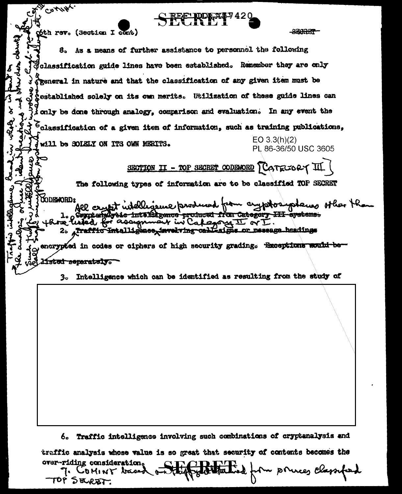COTHAL **BEORET** óth rev. (Section I cont) S. As a means of further assistance to personnel the following dolassification guide lines have been established. Remember they are only ようさ Speneral in nature and that the classification of any given item must be  $\sqrt{3}$ **Cestablished solely on its own merits.** Utilization of these guide lines can ্ঠ fonly be done through analogy, comparison and evaluation. In any event the JRJA  $^6$ classification of a given item of information, such as training publications,  $EO 3.3(h)(2)$ will be SOIELY ON ITS OWN MERITS. PL 86-36/50 USC 3605 SECTION II - TOP SECRET CODENDRD CATECORY III The following types of information are to be classified TOP SECRET **CODEWORD:** All crypt intelligence produced from cryptos places other than **RAPLE** inteliikeence produced from Category III systems. for assum  $240M$   $\overline{\Lambda}$  or Traffic Intalligence, invekving call-aigns or message headings  $2<sub>o</sub>$ encrypted in codes or ciphers of high security grading. Exceptions would beisted separately. Intelligence which can be identified as resulting from the study of 30

Traffic intelligence involving such combinations of cryptanalysis and 6. traffic analysis whose value is so great that security of contents becomes the over-riding consideration.

m princes classified 7. COMINY based TOP SERET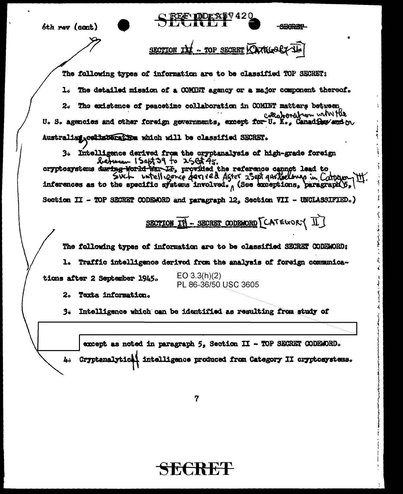| 6th rev (cont)                                                                                                                                                                                                                                                    |
|-------------------------------------------------------------------------------------------------------------------------------------------------------------------------------------------------------------------------------------------------------------------|
| - TOP SECRET CATEGOR                                                                                                                                                                                                                                              |
| The following types of information are to be classified TOP SECRET:                                                                                                                                                                                               |
| The detailed mission of a COMINT agency or a major component thereof.                                                                                                                                                                                             |
| The existence of peacetime collaboration in COMINT matters between<br>20<br>collaboration with the<br>U. S. agencies and other foreign governments, except for U. K., Canad for and ou                                                                            |
| Australian, cellaberathem which will be classified SECRET.                                                                                                                                                                                                        |
| 3. Intelligence derived from the cryptenalysis of high-grade foreign<br>between 150th 29 to 25et 45.<br>oryptosystems during norid war IF, provided the reference cannot lead to<br>inferences as to the specific systems involved. (See exceptions, paragraph(), |
| Section II - TOP SECRET CODEMORD and paragraph 12, Section VII - UNCLASSIFIED.)                                                                                                                                                                                   |
| SECTION IN - SECRET CODEMORD [CATEGORY II]                                                                                                                                                                                                                        |
| The following types of information are to be classified SECRET CODEWORD:                                                                                                                                                                                          |
| 1. Traffic intelligence derived from the analysis of foreign communica-                                                                                                                                                                                           |
| EO 3.3(h)(2)<br>tions after 2 September 1945.<br>PL 86-36/50 USC 3605                                                                                                                                                                                             |
| 2.<br><b>Texta information.</b>                                                                                                                                                                                                                                   |
| Intelligence which can be identified as resulting from study of                                                                                                                                                                                                   |
|                                                                                                                                                                                                                                                                   |
| except as noted in paragraph 5, Section II - TOP SECRET CODEMORD.                                                                                                                                                                                                 |
| 4. Cryptenalytic intelligence produced from Category II cryptosystems.                                                                                                                                                                                            |
| 7                                                                                                                                                                                                                                                                 |

 $\hat{\mathcal{Q}}$  $\bar{1}$ 

j

ناسب بالمعالم معالم

والمستعملات والمناوب

 $\label{eq:1} \begin{array}{lll} \mathcal{L}_{\text{max}}(\mathbf{r},\mathbf{r},\mathbf{r},\mathbf{r},\mathbf{r},\mathbf{r},\mathbf{r},\mathbf{r},\mathbf{r},\mathbf{r},\mathbf{r},\mathbf{r},\mathbf{r},\mathbf{r},\mathbf{r},\mathbf{r},\mathbf{r},\mathbf{r},\mathbf{r},\mathbf{r},\mathbf{r},\mathbf{r},\mathbf{r},\mathbf{r},\mathbf{r},\mathbf{r},\mathbf{r},\mathbf{r},\mathbf{r},\mathbf{r},\mathbf{r},\mathbf{r},\math$ 

 $\bar{\Sigma}$ 

 $\bar{\mathcal{A}}$ 

k,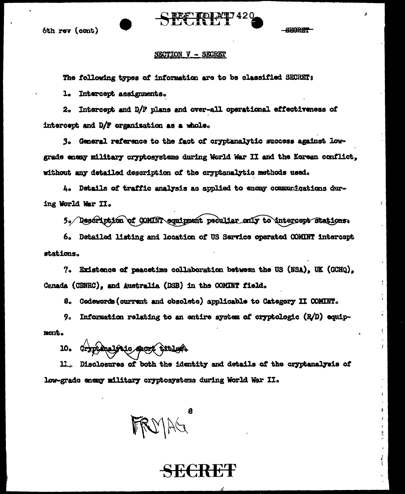



**SECRET** 

#### SECTION V - SECRET

The following types of information are to be classified SECRET:

1. Intercept assignments.

2. Intercept and D/F plans and over-all operational effectiveness of intercept and D/F organization as a whole.

3. General reference to the fact of cryptanalytic success against lowgrade enemy military cryptosystems during World War II and the Korean conflict. without any detailed description of the cryptanalytic methods used.

4. Details of traffic analysis as applied to enemy communications during World War II.

5. Description of COMINT equippent peculiar only to intercept stations.

6. Detailed listing and location of US Service operated COMINT intercept stations.

7. Existence of peacetime collaboration between the US (NSA), UK (GCHQ), Cenada (CENEC), and Australia (DSB) in the COMINT field.

8. Godewords (current and obsolete) applicable to Category II COMINT.

9. Information relating to an entire system of cryptologic  $(R/D)$  equipment.

cryptiquelstic sport titlest. 10.

Disclosures of both the identity and details of the cryptanalysis of  $\mathbf{L}_{\mathbf{L}}$ low-grade enemy military cryptosystems during World War II.

 $D/AG$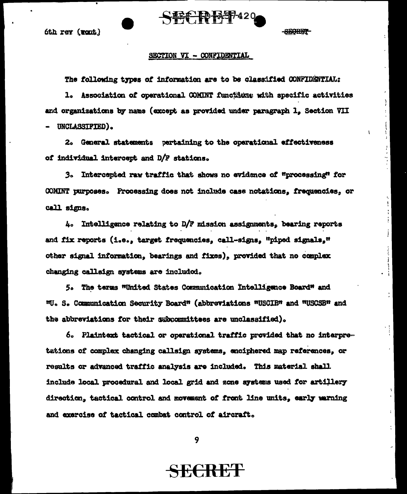

6th rev (ront)

#### **SEARIA**

f.

#### SECTION VI - CONFIDENTIAL

The following types of information are to be classified CONFIDENTIAL:

1. Association of operational COMINT functions with specific activities and organizations by name (except as provided under paragraph 1, Section VII UNCLASSIFIED).

2. General statements pertaining to the operational effectiveness of individual intercept and D/F stations.

3. Intercepted raw traffic that shows no evidence of "processing" for COMINT purposes. Processing does not include case notations, frequencies, or call signs.

4. Intelligence relating to D/F mission assignments, bearing reports and fix reports (i.e., target frequencies, call-signs, "piped signals," other signal information, bearings and fixes), provided that no complex changing callaign systems are included.

5. The terms "United States Communication Intelligence Board" and "U. S. Communication Security Board" (abbreviations "USCIB" and "USCSB" and the abbreviations for their subcommittees are unclassified).

6. Plaintext tactical or operational traffic provided that no interpretations of complex changing callsign systems, enciphered map references, or results or advanced traffic analysis are included. This material shall include local procedural and local grid and zone systems used for artillery direction, tactical control and movement of front line units, early warning and exercise of tactical combat control of aircraft.

9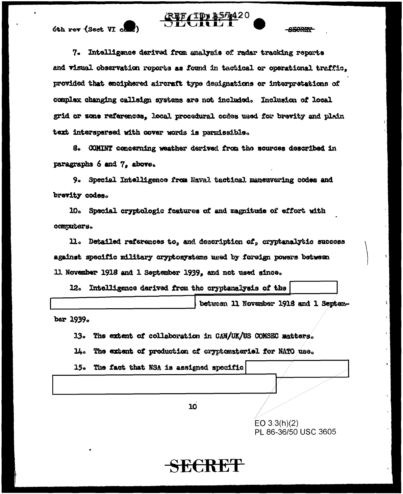

6th rev (Sect VI com

**SEORE?** 

7. Intelligance derived from analysis of radar tracking reports and visual observation reports as found in tactical or operational traffic. provided that enciphered aircraft type designations or interpretations of complex changing calledge systems are not included. Inclusion of local grid or sone references, local procedural codes used for brevity and plain text interspersed with cover words is permissible.

8. COMINT concerning weather derived from the sources described in paragraphs 6 and 7, above.

9. Special Intelligence from Naval tactical maneuvering codes and brevity codes.

10. Special cryptologic features of and magnitude of effort with computers.

11. Detailed references to, and description of, cryptenalytic success against specific military cryptosystems used by foreign powers between 11. November 1918 and 1 September 1939, and not used since.

12. Intelligence derived from the oryptanalysis of the

between 11 November 1918 and 1 Septem-

ber 1939.

13. The extent of collaboration in CAN/UK/US COMSEC matters.

 $\mathbf{u}$ . The extent of production of orygtomaterial for NATO use.

15. The fact that NSA is assigned specific

10

EO  $3.3(h)(2)$ PL 86-36/50 USC 3605

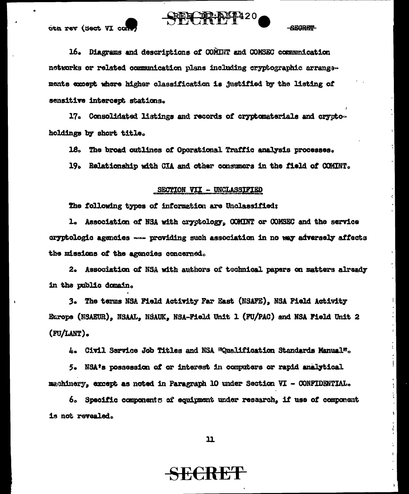

oth rev (Sect VI con

EGRET

16. Diagrams and descriptions of COMINT and COMSEC communication networks or related communication plans including cryptographic arrangements except where higher classification is justified by the listing of sensitive intercept stations.

17. Consolidated listings and records of cryptomaterials and cryptoholdings by short title.

18. The broad outlines of Operational Traffic analysis processes.

19. Relationship with CIA and other consumers in the field of COMINT.

#### SECTION VII - UNCLASSIFIED

The following types of information are Unclassified:

1. Association of NSA with cryptology, COMINT or COMSEC and the service cryptologic agencies - providing such association in no way adversely affects the missions of the agencies concerned.

2. Association of NSA with authors of technical papers on matters already in the public domain.

3. The terms NSA Field Activity Far East (NSAFE), NSA Field Activity Europe (NSAEUR), NSAAL, NSAUK, NSA-Field Unit 1 (FU/PAC) and NSA Field Unit 2 (FU/LANT).

4. Civil Service Job Titles and NSA "Qualification Standards Manual".

5. NSA's possession of or interest in computers or rapid analytical machinery, except as noted in Paragraph 10 under Section VI - CONFIDENTIAL.

6. Specific components of equipment under research. if use of component is not revealed.

 $11$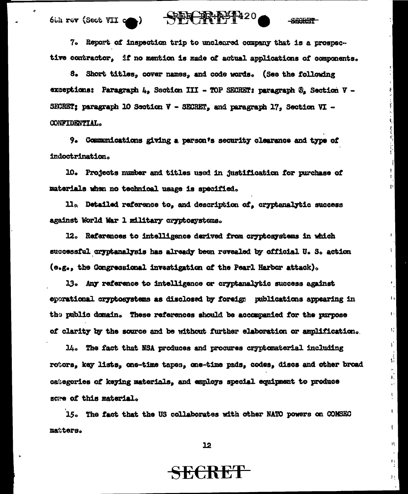$\mathbb{R}^{n+120}$ 6th rev (Sect VII com)

**SEARE?** 

 $\mathbf{u}$ 

ł.

÷.

 $\lceil \cdot \rceil$ 

ţ.

U.

¥.

 $\sqrt{\frac{2}{3}}$ 

Ĵ,

ţ.

Î.

ŧ

ΙX.

τý,

 $\mathbf{1}$   $\mathbf{1}$ 

7. Report of inspection trip to uncleared company that is a prospective contractor. If no mention is made of actual applications of components.

8. Short titles, cover names, and code words. (See the following exceptions: Paragraph 4, Section III - TOP SECRET: paragraph  $\mathfrak{B}_n$  Section V -SECRET: paragraph 10 Section V - SECRET, and paragraph 17, Section VI -CONFIDENTIAL.

9. Communications giving a person's security clearance and type of indoctrination.

10. Projects number and titles used in justification for purchase of materials when no technical usage is specified.

ll<sub>a</sub> Detailed reference to, and description of, cryptanalytic success against World War 1 military cryptosystems.

12. References to intelligence derived from cryptosystems in which successful oryptanalysis has already been revealed by official U.S. action (e.g., the Congressional investigation of the Pearl Harbor attack).

13. Any reference to intelligence or cryptanalytic success against eperational cryptosystems as disclosed by foreign publications appearing in the public domain. These references should be accompanied for the purpose of clarity by the source and be without further elaboration or amplification.

14. The fact that NSA produces and procures cryptomaterial including rotors, key lists, one-time tapes, one-time pads, codes, discs and other broad categories of keying materials, and employs special equipment to produce scare of this material.

15. The fact that the US collaborates with other NATO powers on COMSEC matters.

 $22$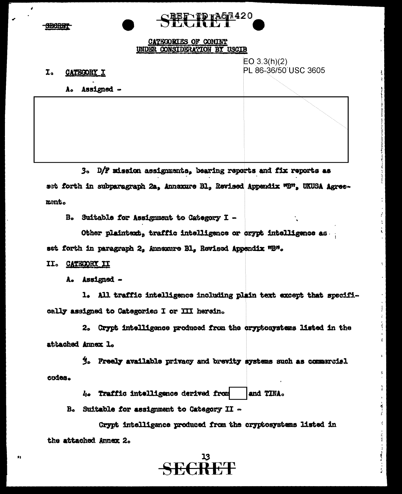

### CATEGORIES OF COMINT UNDER CONSIDERATION BY USCIB

**\BEF\TP HA67.420** 

I. CATEGORY I  $EO 3.3(h)(2)$ PL 86-36/50 USC 3605

Assigned -Ão

3. D/F mission assignments, bearing reports and fix reports as set forth in subparagraph 2a, Annexure Bl., Revised Appendix "B", UKUSA Agreement.

B. Suitable for Assignment to Category I -

Other plaintext, traffic intelligence or crypt intelligence as set forth in paragraph 2, Annexure Bl, Revised Appendix "B".

#### II. CATECORY II

 $\bullet$ 

A. Assigned -

1. All traffic intelligence including plain text except that specifically assigned to Categories I or III herein.

2. Crypt intelligence produced from the cryptosystems listed in the attached Annex L.

3. Freely available privacy and brevity systems such as commercial codes.

> 4. Traffic intelligence derived from and TINA.

B. Suitable for assignment to Category II -

Crypt intelligance produced from the cryptosystems listed in the attached Annex 2.